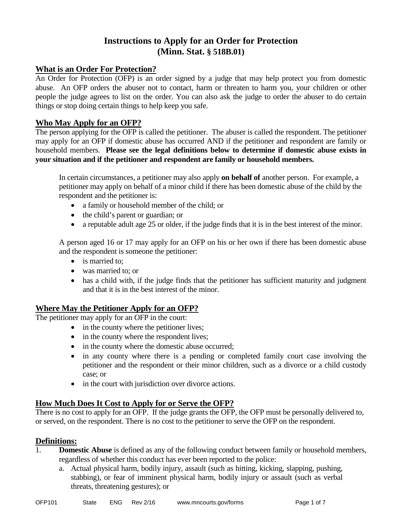# **Instructions to Apply for an Order for Protection (Minn. Stat. § 518B.01)**

## **What is an Order For Protection?**

An Order for Protection (OFP) is an order signed by a judge that may help protect you from domestic abuse. An OFP orders the abuser not to contact, harm or threaten to harm you, your children or other people the judge agrees to list on the order. You can also ask the judge to order the abuser to do certain things or stop doing certain things to help keep you safe.

## **Who May Apply for an OFP?**

The person applying for the OFP is called the petitioner. The abuser is called the respondent. The petitioner may apply for an OFP if domestic abuse has occurred AND if the petitioner and respondent are family or household members. **Please see the legal definitions below to determine if domestic abuse exists in your situation and if the petitioner and respondent are family or household members.**

In certain circumstances, a petitioner may also apply **on behalf of** another person. For example, a petitioner may apply on behalf of a minor child if there has been domestic abuse of the child by the respondent and the petitioner is:

- a family or household member of the child; or
- the child's parent or guardian; or
- a reputable adult age 25 or older, if the judge finds that it is in the best interest of the minor.

A person aged 16 or 17 may apply for an OFP on his or her own if there has been domestic abuse and the respondent is someone the petitioner:

- is married to;
- was married to; or
- has a child with, if the judge finds that the petitioner has sufficient maturity and judgment and that it is in the best interest of the minor.

## **Where May the Petitioner Apply for an OFP?**

The petitioner may apply for an OFP in the court:

- in the county where the petitioner lives;
- in the county where the respondent lives;
- in the county where the domestic abuse occurred;
- in any county where there is a pending or completed family court case involving the petitioner and the respondent or their minor children, such as a divorce or a child custody case; or
- in the court with jurisdiction over divorce actions.

## **How Much Does It Cost to Apply for or Serve the OFP?**

There is no cost to apply for an OFP. If the judge grants the OFP, the OFP must be personally delivered to, or served, on the respondent. There is no cost to the petitioner to serve the OFP on the respondent.

#### **Definitions:**

- 1. **Domestic Abuse** is defined as any of the following conduct between family or household members, regardless of whether this conduct has ever been reported to the police:
	- a. Actual physical harm, bodily injury, assault (such as hitting, kicking, slapping, pushing, stabbing), or fear of imminent physical harm, bodily injury or assault (such as verbal threats, threatening gestures); or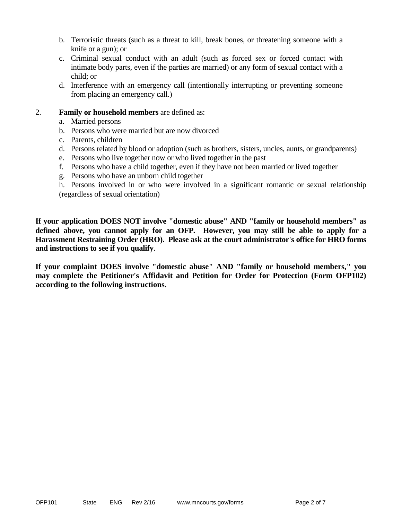- b. Terroristic threats (such as a threat to kill, break bones, or threatening someone with a knife or a gun); or
- c. Criminal sexual conduct with an adult (such as forced sex or forced contact with intimate body parts, even if the parties are married) or any form of sexual contact with a child; or
- d. Interference with an emergency call (intentionally interrupting or preventing someone from placing an emergency call.)

#### 2. **Family or household members** are defined as:

- a. Married persons
- b. Persons who were married but are now divorced
- c. Parents, children
- d. Persons related by blood or adoption (such as brothers, sisters, uncles, aunts, or grandparents)
- e. Persons who live together now or who lived together in the past
- f. Persons who have a child together, even if they have not been married or lived together
- g. Persons who have an unborn child together

h. Persons involved in or who were involved in a significant romantic or sexual relationship (regardless of sexual orientation)

**If your application DOES NOT involve "domestic abuse" AND "family or household members" as defined above, you cannot apply for an OFP. However, you may still be able to apply for a Harassment Restraining Order (HRO). Please ask at the court administrator's office for HRO forms and instructions to see if you qualify**.

**If your complaint DOES involve "domestic abuse" AND "family or household members," you may complete the Petitioner's Affidavit and Petition for Order for Protection (Form OFP102) according to the following instructions.**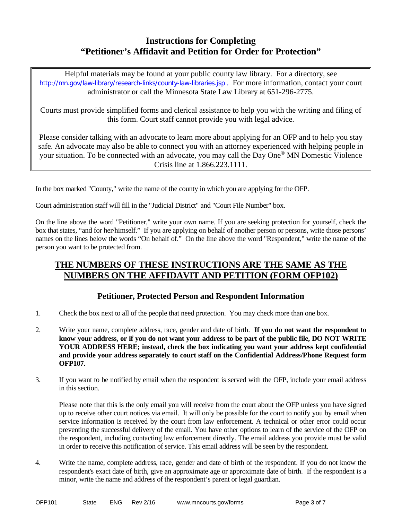# **Instructions for Completing "Petitioner's Affidavit and Petition for Order for Protection"**

Helpful materials may be found at your public county law library. For a directory, see <http://mn.gov/law-library/research-links/county-law-libraries.jsp> . For more information, contact your court administrator or call the Minnesota State Law Library at 651-296-2775.

Courts must provide simplified forms and clerical assistance to help you with the writing and filing of this form. Court staff cannot provide you with legal advice.

Please consider talking with an advocate to learn more about applying for an OFP and to help you stay safe. An advocate may also be able to connect you with an attorney experienced with helping people in your situation. To be connected with an advocate, you may call the Day One® MN Domestic Violence Crisis line at 1.866.223.1111.

In the box marked "County," write the name of the county in which you are applying for the OFP.

Court administration staff will fill in the "Judicial District" and "Court File Number" box.

On the line above the word "Petitioner," write your own name. If you are seeking protection for yourself, check the box that states, "and for her/himself." If you are applying on behalf of another person or persons, write those persons' names on the lines below the words "On behalf of." On the line above the word "Respondent," write the name of the person you want to be protected from.

# **THE NUMBERS OF THESE INSTRUCTIONS ARE THE SAME AS THE NUMBERS ON THE AFFIDAVIT AND PETITION (FORM OFP102)**

## **Petitioner, Protected Person and Respondent Information**

- 1. Check the box next to all of the people that need protection. You may check more than one box.
- 2. Write your name, complete address, race, gender and date of birth. **If you do not want the respondent to know your address, or if you do not want your address to be part of the public file, DO NOT WRITE YOUR ADDRESS HERE; instead, check the box indicating you want your address kept confidential and provide your address separately to court staff on the Confidential Address/Phone Request form OFP107.**
- 3. If you want to be notified by email when the respondent is served with the OFP, include your email address in this section.

Please note that this is the only email you will receive from the court about the OFP unless you have signed up to receive other court notices via email. It will only be possible for the court to notify you by email when service information is received by the court from law enforcement. A technical or other error could occur preventing the successful delivery of the email. You have other options to learn of the service of the OFP on the respondent, including contacting law enforcement directly. The email address you provide must be valid in order to receive this notification of service. This email address will be seen by the respondent.

4. Write the name, complete address, race, gender and date of birth of the respondent. If you do not know the respondent's exact date of birth, give an approximate age or approximate date of birth. If the respondent is a minor, write the name and address of the respondent's parent or legal guardian.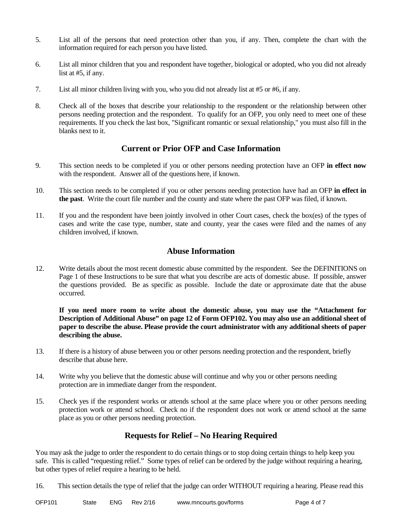- 5. List all of the persons that need protection other than you, if any. Then, complete the chart with the information required for each person you have listed.
- 6. List all minor children that you and respondent have together, biological or adopted, who you did not already list at #5, if any.
- 7. List all minor children living with you, who you did not already list at #5 or #6, if any.
- 8. Check all of the boxes that describe your relationship to the respondent or the relationship between other persons needing protection and the respondent. To qualify for an OFP, you only need to meet one of these requirements. If you check the last box, "Significant romantic or sexual relationship," you must also fill in the blanks next to it.

## **Current or Prior OFP and Case Information**

- 9. This section needs to be completed if you or other persons needing protection have an OFP **in effect now** with the respondent. Answer all of the questions here, if known.
- 10. This section needs to be completed if you or other persons needing protection have had an OFP **in effect in the past**. Write the court file number and the county and state where the past OFP was filed, if known.
- 11. If you and the respondent have been jointly involved in other Court cases, check the box(es) of the types of cases and write the case type, number, state and county, year the cases were filed and the names of any children involved, if known.

#### **Abuse Information**

12. Write details about the most recent domestic abuse committed by the respondent. See the DEFINITIONS on Page 1 of these Instructions to be sure that what you describe are acts of domestic abuse. If possible, answer the questions provided. Be as specific as possible. Include the date or approximate date that the abuse occurred.

**If you need more room to write about the domestic abuse, you may use the "Attachment for Description of Additional Abuse" on page 12 of Form OFP102. You may also use an additional sheet of paper to describe the abuse. Please provide the court administrator with any additional sheets of paper describing the abuse.**

- 13. If there is a history of abuse between you or other persons needing protection and the respondent, briefly describe that abuse here.
- 14. Write why you believe that the domestic abuse will continue and why you or other persons needing protection are in immediate danger from the respondent.
- 15. Check yes if the respondent works or attends school at the same place where you or other persons needing protection work or attend school. Check no if the respondent does not work or attend school at the same place as you or other persons needing protection.

## **Requests for Relief – No Hearing Required**

You may ask the judge to order the respondent to do certain things or to stop doing certain things to help keep you safe. This is called "requesting relief." Some types of relief can be ordered by the judge without requiring a hearing, but other types of relief require a hearing to be held.

16. This section details the type of relief that the judge can order WITHOUT requiring a hearing. Please read this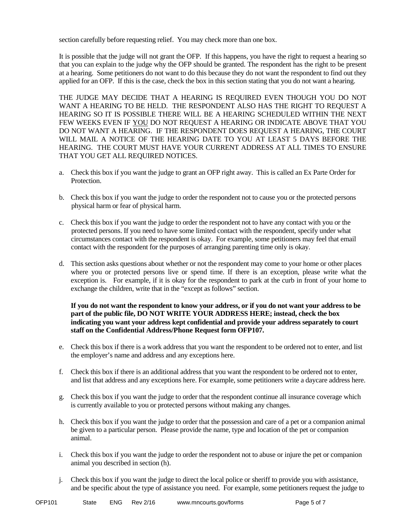section carefully before requesting relief. You may check more than one box.

It is possible that the judge will not grant the OFP. If this happens, you have the right to request a hearing so that you can explain to the judge why the OFP should be granted. The respondent has the right to be present at a hearing. Some petitioners do not want to do this because they do not want the respondent to find out they applied for an OFP. If this is the case, check the box in this section stating that you do not want a hearing.

THE JUDGE MAY DECIDE THAT A HEARING IS REQUIRED EVEN THOUGH YOU DO NOT WANT A HEARING TO BE HELD. THE RESPONDENT ALSO HAS THE RIGHT TO REOUEST A HEARING SO IT IS POSSIBLE THERE WILL BE A HEARING SCHEDULED WITHIN THE NEXT FEW WEEKS EVEN IF YOU DO NOT REQUEST A HEARING OR INDICATE ABOVE THAT YOU DO NOT WANT A HEARING. IF THE RESPONDENT DOES REQUEST A HEARING, THE COURT WILL MAIL A NOTICE OF THE HEARING DATE TO YOU AT LEAST 5 DAYS BEFORE THE HEARING. THE COURT MUST HAVE YOUR CURRENT ADDRESS AT ALL TIMES TO ENSURE THAT YOU GET ALL REQUIRED NOTICES.

- a. Check this box if you want the judge to grant an OFP right away. This is called an Ex Parte Order for Protection.
- b. Check this box if you want the judge to order the respondent not to cause you or the protected persons physical harm or fear of physical harm.
- c. Check this box if you want the judge to order the respondent not to have any contact with you or the protected persons. If you need to have some limited contact with the respondent, specify under what circumstances contact with the respondent is okay. For example, some petitioners may feel that email contact with the respondent for the purposes of arranging parenting time only is okay.
- d. This section asks questions about whether or not the respondent may come to your home or other places where you or protected persons live or spend time. If there is an exception, please write what the exception is. For example, if it is okay for the respondent to park at the curb in front of your home to exchange the children, write that in the "except as follows" section.

#### **If you do not want the respondent to know your address, or if you do not want your address to be part of the public file, DO NOT WRITE YOUR ADDRESS HERE; instead, check the box indicating you want your address kept confidential and provide your address separately to court staff on the Confidential Address/Phone Request form OFP107.**

- e. Check this box if there is a work address that you want the respondent to be ordered not to enter, and list the employer's name and address and any exceptions here.
- f. Check this box if there is an additional address that you want the respondent to be ordered not to enter, and list that address and any exceptions here. For example, some petitioners write a daycare address here.
- g. Check this box if you want the judge to order that the respondent continue all insurance coverage which is currently available to you or protected persons without making any changes.
- h. Check this box if you want the judge to order that the possession and care of a pet or a companion animal be given to a particular person. Please provide the name, type and location of the pet or companion animal.
- i. Check this box if you want the judge to order the respondent not to abuse or injure the pet or companion animal you described in section (h).
- j. Check this box if you want the judge to direct the local police or sheriff to provide you with assistance, and be specific about the type of assistance you need. For example, some petitioners request the judge to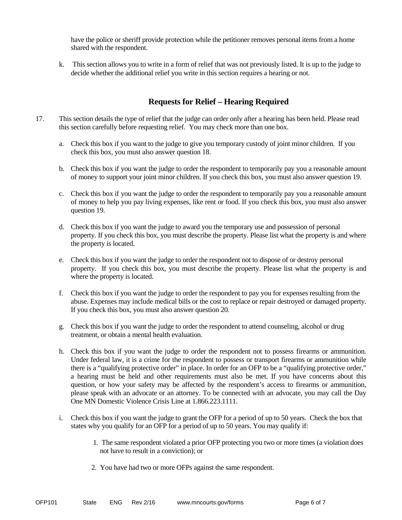have the police or sheriff provide protection while the petitioner removes personal items from a home shared with the respondent.

k. This section allows you to write in a form of relief that was not previously listed. It is up to the judge to decide whether the additional relief you write in this section requires a hearing or not.

## **Requests for Relief – Hearing Required**

- 17. This section details the type of relief that the judge can order only after a hearing has been held. Please read this section carefully before requesting relief. You may check more than one box.
	- a. Check this box if you want to the judge to give you temporary custody of joint minor children. If you check this box, you must also answer question 18.
	- b. Check this box if you want the judge to order the respondent to temporarily pay you a reasonable amount of money to support your joint minor children. If you check this box, you must also answer question 19.
	- c. Check this box if you want the judge to order the respondent to temporarily pay you a reasonable amount of money to help you pay living expenses, like rent or food. If you check this box, you must also answer question 19.
	- d. Check this box if you want the judge to award you the temporary use and possession of personal property. If you check this box, you must describe the property. Please list what the property is and where the property is located.
	- e. Check this box if you want the judge to order the respondent not to dispose of or destroy personal property. If you check this box, you must describe the property. Please list what the property is and where the property is located.
	- f. Check this box if you want the judge to order the respondent to pay you for expenses resulting from the abuse. Expenses may include medical bills or the cost to replace or repair destroyed or damaged property. If you check this box, you must also answer question 20.
	- g. Check this box if you want the judge to order the respondent to attend counseling, alcohol or drug treatment, or obtain a mental health evaluation.
	- h. Check this box if you want the judge to order the respondent not to possess firearms or ammunition. Under federal law, it is a crime for the respondent to possess or transport firearms or ammunition while there is a "qualifying protective order" in place. In order for an OFP to be a "qualifying protective order," a hearing must be held and other requirements must also be met. If you have concerns about this question, or how your safety may be affected by the respondent's access to firearms or ammunition, please speak with an advocate or an attorney. To be connected with an advocate, you may call the Day One MN Domestic Violence Crisis Line at 1.866.223.1111.
	- i. Check this box if you want the judge to grant the OFP for a period of up to 50 years. Check the box that states why you qualify for an OFP for a period of up to 50 years. You may qualify if:
		- 1. The same respondent violated a prior OFP protecting you two or more times (a violation does not have to result in a conviction); or
		- 2. You have had two or more OFPs against the same respondent.